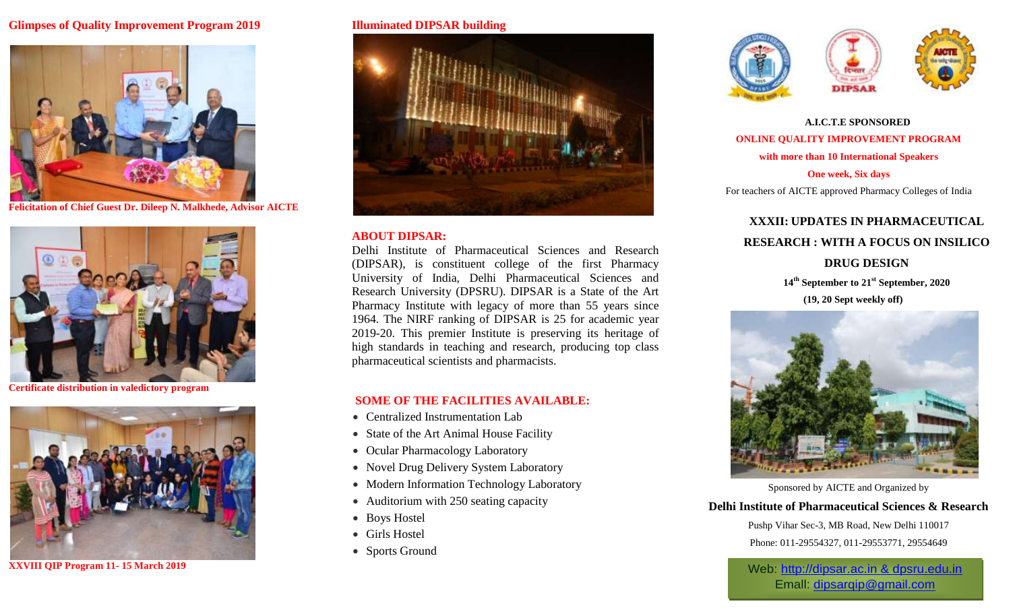## **Glimpses of Quality Improvement Program 2019**



**Felicitation of Chief Guest Dr. Dileep N. Malkhede, Advisor AICTE**



**Certificate distribution in valedictory program**



**XXVIII QIP Program 11- 15 March 2019**

#### **Illuminated DIPSAR building**



#### **ABOUT DIPSAR:**

Delhi Institute of Pharmaceutical Sciences and Research (DIPSAR), is constituent college of the first Pharmacy University of India, Delhi Pharmaceutical Sciences and Research University (DPSRU). DIPSAR is a State of the Art Pharmacy Institute with legacy of more than 55 years since 1964. The NIRF ranking of DIPSAR is 25 for academic year 2019-20. This premier Institute is preserving its heritage of high standards in teaching and research, producing top class pharmaceutical scientists and pharmacists.

## **SOME OF THE FACILITIES AVAILABLE:**

- Centralized Instrumentation Lab
- State of the Art Animal House Facility
- Ocular Pharmacology Laboratory
- Novel Drug Delivery System Laboratory
- Modern Information Technology Laboratory
- Auditorium with 250 seating capacity
- Boys Hostel
- Girls Hostel
- Sports Ground





**A.I.C.T.E SPONSORED ONLINE QUALITY IMPROVEMENT PROGRAM with more than 10 International Speakers One week, Six days**

For teachers of AICTE approved Pharmacy Colleges of India

## **XXXII: UPDATES IN PHARMACEUTICAL RESEARCH : WITH A FOCUS ON INSILICO**

## **DRUG DESIGN**

**14th September to 21st September, 2020 (19, 20 Sept weekly off)**



Sponsored by AICTE and Organized by

**Delhi Institute of Pharmaceutical Sciences & Research**

Pushp Vihar Sec-3, MB Road, New Delhi 110017 Phone: 011-29554327, 011-29553771, 29554649

Web: http://dipsar.ac.in & dpsru.edu.in Emall: [dipsarqip@gmail.com](mailto:dipsarqip@gmail.com)